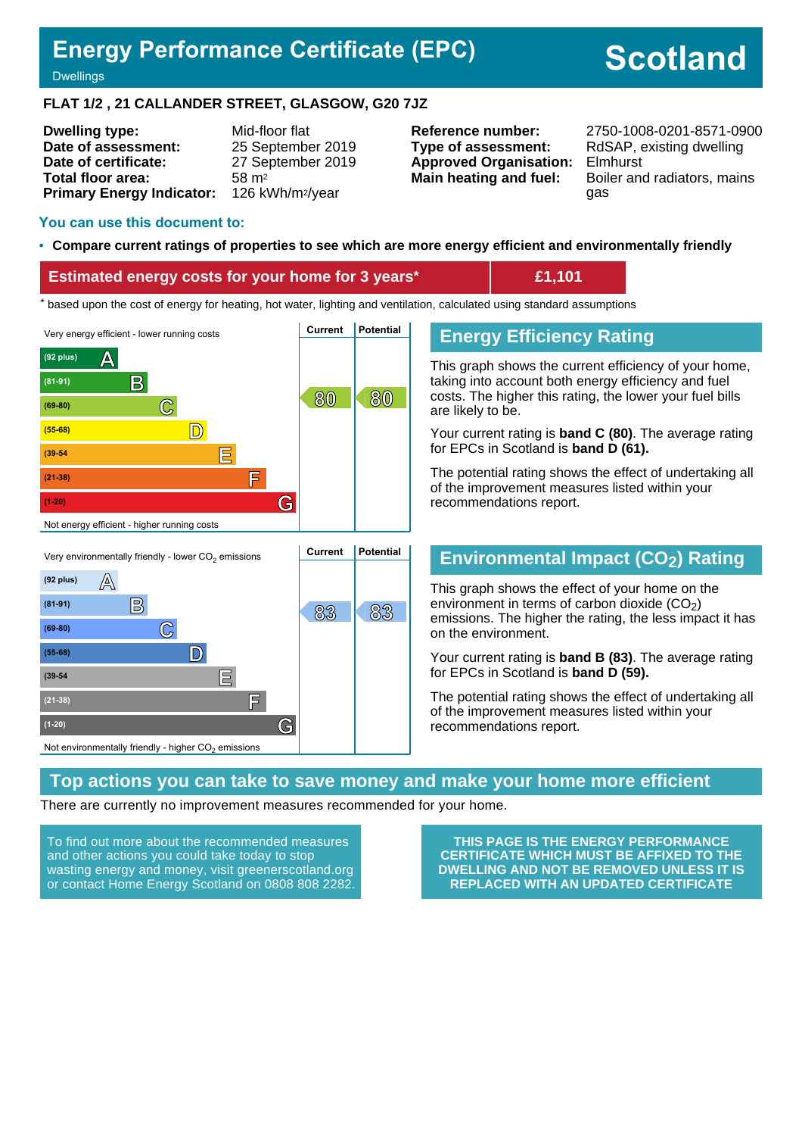# **Energy Performance Certificate (EPC)**

# **Scotland**

#### **Dwellings**

#### **FLAT 1/2 , 21 CALLANDER STREET, GLASGOW, G20 7JZ**

| <b>Dwelling type:</b>            | Mid-floor flat               |
|----------------------------------|------------------------------|
| Date of assessment:              | 25 September 2019            |
| Date of certificate:             | 27 September 2019            |
| Total floor area:                | 58 m <sup>2</sup>            |
| <b>Primary Energy Indicator:</b> | 126 kWh/m <sup>2</sup> /year |

**Type of assessment:** RdSAP, existing dwelling **Approved Organisation:** Elmhurst

**Reference number:** 2750-1008-0201-8571-0900 **Main heating and fuel:** Boiler and radiators, mains gas

#### **You can use this document to:**

#### • **Compare current ratings of properties to see which are more energy efficient and environmentally friendly**

#### **Estimated energy costs for your home for 3 years\* £1,101**

the sed upon the cost of energy for heating, hot water, lighting and ventilation, calculated using standard assumptions





# **Energy Efficiency Rating**

This graph shows the current efficiency of your home, taking into account both energy efficiency and fuel costs. The higher this rating, the lower your fuel bills are likely to be.

Your current rating is **band C (80)**. The average rating for EPCs in Scotland is **band D (61).**

The potential rating shows the effect of undertaking all of the improvement measures listed within your recommendations report.

#### **Environmental Impact (CO2) Rating**

This graph shows the effect of your home on the environment in terms of carbon dioxide  $(CO<sub>2</sub>)$ emissions. The higher the rating, the less impact it has on the environment.

Your current rating is **band B (83)**. The average rating for EPCs in Scotland is **band D (59).**

The potential rating shows the effect of undertaking all of the improvement measures listed within your recommendations report.

#### **Top actions you can take to save money and make your home more efficient**

There are currently no improvement measures recommended for your home.

To find out more about the recommended measures and other actions you could take today to stop wasting energy and money, visit greenerscotland.org or contact Home Energy Scotland on 0808 808 2282.

**THIS PAGE IS THE ENERGY PERFORMANCE CERTIFICATE WHICH MUST BE AFFIXED TO THE DWELLING AND NOT BE REMOVED UNLESS IT IS REPLACED WITH AN UPDATED CERTIFICATE**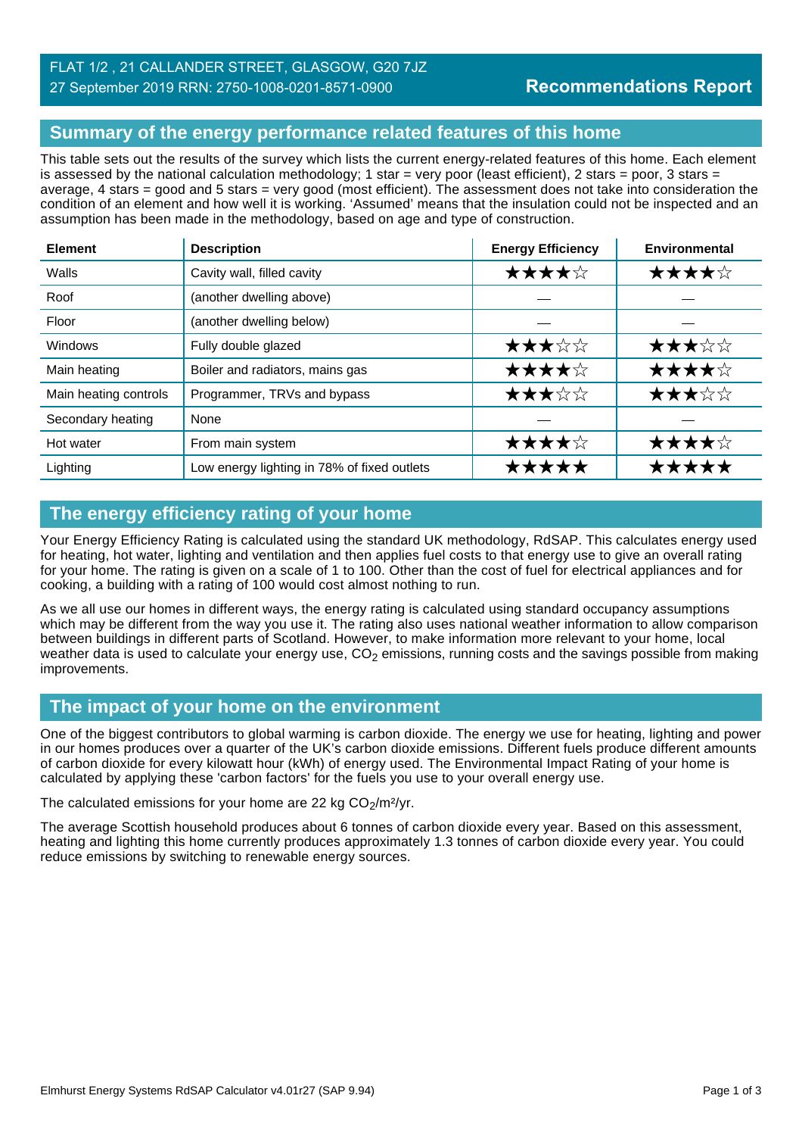# FLAT 1/2 , 21 CALLANDER STREET, GLASGOW, G20 7JZ 27 September 2019 RRN: 2750-1008-0201-8571-0900

# **Summary of the energy performance related features of this home**

This table sets out the results of the survey which lists the current energy-related features of this home. Each element is assessed by the national calculation methodology; 1 star = very poor (least efficient), 2 stars = poor, 3 stars = average, 4 stars = good and 5 stars = very good (most efficient). The assessment does not take into consideration the condition of an element and how well it is working. 'Assumed' means that the insulation could not be inspected and an assumption has been made in the methodology, based on age and type of construction.

| <b>Element</b>        | <b>Description</b>                          | <b>Energy Efficiency</b> | Environmental |
|-----------------------|---------------------------------------------|--------------------------|---------------|
| Walls                 | Cavity wall, filled cavity                  | ★★★★☆                    | ★★★★☆         |
| Roof                  | (another dwelling above)                    |                          |               |
| Floor                 | (another dwelling below)                    |                          |               |
| Windows               | Fully double glazed                         | ★★★☆☆                    | ★★★☆☆         |
| Main heating          | Boiler and radiators, mains gas             | ★★★★☆                    | ★★★★☆         |
| Main heating controls | Programmer, TRVs and bypass                 | ★★★☆☆                    | ★★★☆☆         |
| Secondary heating     | None                                        |                          |               |
| Hot water             | From main system                            | ★★★★☆                    | ★★★★☆         |
| Lighting              | Low energy lighting in 78% of fixed outlets | *****                    | *****         |

# **The energy efficiency rating of your home**

Your Energy Efficiency Rating is calculated using the standard UK methodology, RdSAP. This calculates energy used for heating, hot water, lighting and ventilation and then applies fuel costs to that energy use to give an overall rating for your home. The rating is given on a scale of 1 to 100. Other than the cost of fuel for electrical appliances and for cooking, a building with a rating of 100 would cost almost nothing to run.

As we all use our homes in different ways, the energy rating is calculated using standard occupancy assumptions which may be different from the way you use it. The rating also uses national weather information to allow comparison between buildings in different parts of Scotland. However, to make information more relevant to your home, local weather data is used to calculate your energy use,  $CO<sub>2</sub>$  emissions, running costs and the savings possible from making improvements.

# **The impact of your home on the environment**

One of the biggest contributors to global warming is carbon dioxide. The energy we use for heating, lighting and power in our homes produces over a quarter of the UK's carbon dioxide emissions. Different fuels produce different amounts of carbon dioxide for every kilowatt hour (kWh) of energy used. The Environmental Impact Rating of your home is calculated by applying these 'carbon factors' for the fuels you use to your overall energy use.

The calculated emissions for your home are 22 kg  $CO<sub>2</sub>/m<sup>2</sup>/yr$ .

The average Scottish household produces about 6 tonnes of carbon dioxide every year. Based on this assessment, heating and lighting this home currently produces approximately 1.3 tonnes of carbon dioxide every year. You could reduce emissions by switching to renewable energy sources.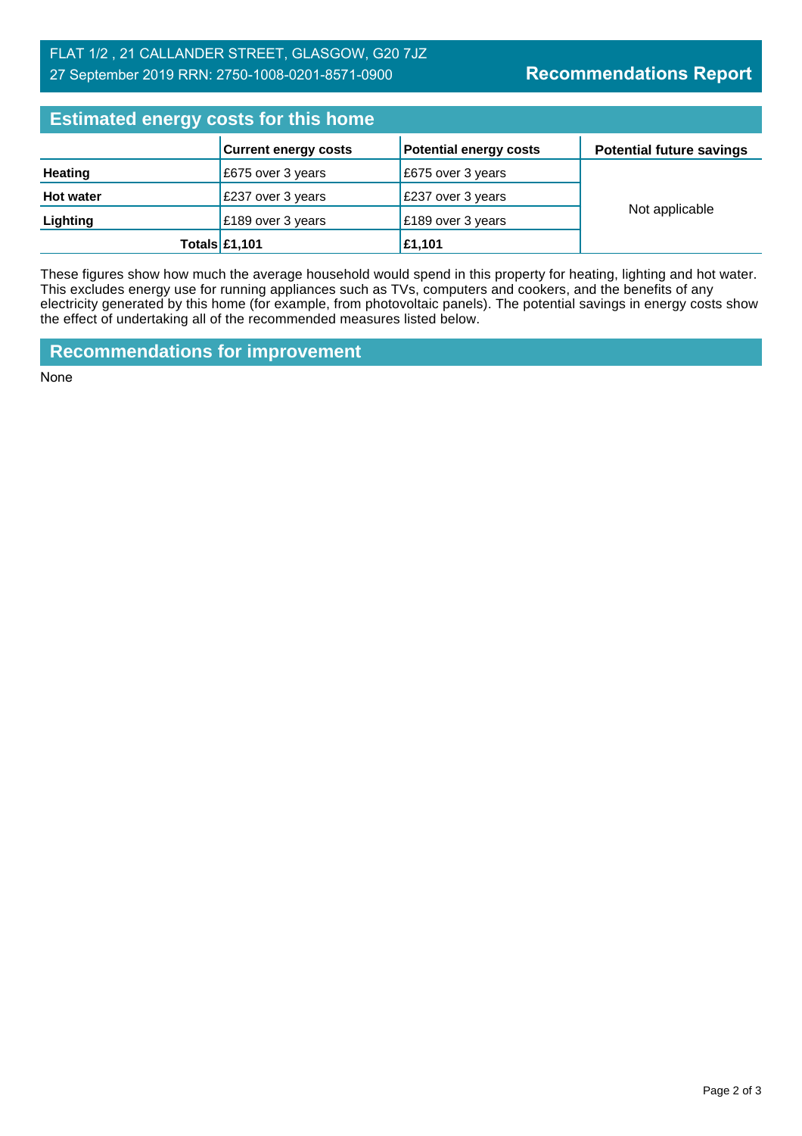# FLAT 1/2 , 21 CALLANDER STREET, GLASGOW, G20 7JZ 27 September 2019 RRN: 2750-1008-0201-8571-0900

| <b>Estimated energy costs for this home</b> |                             |                               |                                 |  |
|---------------------------------------------|-----------------------------|-------------------------------|---------------------------------|--|
|                                             | <b>Current energy costs</b> | <b>Potential energy costs</b> | <b>Potential future savings</b> |  |
| <b>Heating</b>                              | £675 over 3 years           | E675 over 3 years             |                                 |  |
| <b>Hot water</b>                            | £237 over 3 years           | £237 over 3 years             | Not applicable                  |  |
| Lighting                                    | £189 over 3 years           | £189 over 3 years             |                                 |  |
|                                             | <b>Totals £1,101</b>        | £1,101                        |                                 |  |

These figures show how much the average household would spend in this property for heating, lighting and hot water. This excludes energy use for running appliances such as TVs, computers and cookers, and the benefits of any electricity generated by this home (for example, from photovoltaic panels). The potential savings in energy costs show the effect of undertaking all of the recommended measures listed below.

**Recommendations for improvement**

None